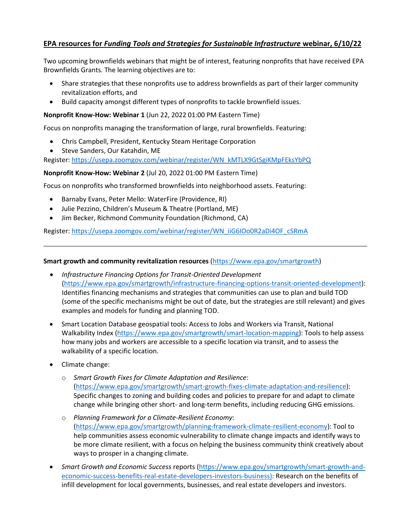## **EPA resources for** *Funding Tools and Strategies for Sustainable Infrastructure* **webinar, 6/10/22**

Two upcoming brownfields webinars that might be of interest, featuring nonprofits that have received EPA Brownfields Grants. The learning objectives are to:

- Share strategies that these nonprofits use to address brownfields as part of their larger community revitalization efforts, and
- Build capacity amongst different types of nonprofits to tackle brownfield issues.

#### **Nonprofit Know-How: Webinar 1** (Jun 22, 2022 01:00 PM Eastern Time)

Focus on nonprofits managing the transformation of large, rural brownfields. Featuring:

- Chris Campbell, President, Kentucky Steam Heritage Corporation
- Steve Sanders, Our Katahdin, ME

Register[: https://usepa.zoomgov.com/webinar/register/WN\\_kMTLX9GtSgiKMpFEksYbPQ](https://usepa.zoomgov.com/webinar/register/WN_kMTLX9GtSgiKMpFEksYbPQ)

#### **Nonprofit Know-How: Webinar 2** (Jul 20, 2022 01:00 PM Eastern Time)

Focus on nonprofits who transformed brownfields into neighborhood assets. Featuring:

- Barnaby Evans, Peter Mello: WaterFire (Providence, RI)
- Julie Pezzino, Children's Museum & Theatre (Portland, ME)
- Jim Becker, Richmond Community Foundation (Richmond, CA)

Register[: https://usepa.zoomgov.com/webinar/register/WN\\_iiG6IOo0R2aDi4OF\\_cSRmA](https://usepa.zoomgov.com/webinar/register/WN_iiG6IOo0R2aDi4OF_cSRmA)

#### **Smart growth and community revitalization resources** [\(https://www.epa.gov/smartgrowth\)](https://www.epa.gov/smartgrowth)

- *Infrastructure Financing Options for Transit-Oriented Development* [\(https://www.epa.gov/smartgrowth/infrastructure-financing-options-transit-oriented-development\)](https://www.epa.gov/smartgrowth/infrastructure-financing-options-transit-oriented-development): Identifies financing mechanisms and strategies that communities can use to plan and build TOD (some of the specific mechanisms might be out of date, but the strategies are still relevant) and gives examples and models for funding and planning TOD.
- Smart Location Database geospatial tools: Access to Jobs and Workers via Transit, National Walkability Index [\(https://www.epa.gov/smartgrowth/smart-location-mapping\)](https://www.epa.gov/smartgrowth/smart-location-mapping): Tools to help assess how many jobs and workers are accessible to a specific location via transit, and to assess the walkability of a specific location.
- Climate change:
	- o *Smart Growth Fixes for Climate Adaptation and Resilience*: [\(https://www.epa.gov/smartgrowth/smart-growth-fixes-climate-adaptation-and-resilience\)](https://www.epa.gov/smartgrowth/smart-growth-fixes-climate-adaptation-and-resilience): Specific changes to zoning and building codes and policies to prepare for and adapt to climate change while bringing other short- and long-term benefits, including reducing GHG emissions.
	- o *Planning Framework for a Climate-Resilient Economy*: [\(https://www.epa.gov/smartgrowth/planning-framework-climate-resilient-economy\)](https://www.epa.gov/smartgrowth/planning-framework-climate-resilient-economy): Tool to help communities assess economic vulnerability to climate change impacts and identify ways to be more climate resilient, with a focus on helping the business community think creatively about ways to prosper in a changing climate.
- *Smart Growth and Economic Success* reports [\(https://www.epa.gov/smartgrowth/smart-growth-and](https://www.epa.gov/smartgrowth/smart-growth-and-economic-success-benefits-real-estate-developers-investors-business)[economic-success-benefits-real-estate-developers-investors-business\)](https://www.epa.gov/smartgrowth/smart-growth-and-economic-success-benefits-real-estate-developers-investors-business): Research on the benefits of infill development for local governments, businesses, and real estate developers and investors.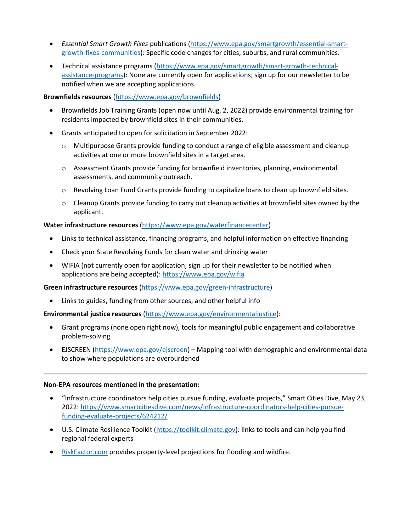- *Essential Smart Growth Fixes* publications [\(https://www.epa.gov/smartgrowth/essential-smart](https://www.epa.gov/smartgrowth/essential-smart-growth-fixes-communities)[growth-fixes-communities\)](https://www.epa.gov/smartgrowth/essential-smart-growth-fixes-communities): Specific code changes for cities, suburbs, and rural communities.
- Technical assistance programs [\(https://www.epa.gov/smartgrowth/smart-growth-technical](https://www.epa.gov/smartgrowth/smart-growth-technical-assistance-programs)[assistance-programs\)](https://www.epa.gov/smartgrowth/smart-growth-technical-assistance-programs): None are currently open for applications; sign up for our newsletter to be notified when we are accepting applications.

#### **Brownfields resources** [\(https://www.epa.gov/brownfields\)](https://www.epa.gov/brownfields)

- Brownfields Job Training Grants (open now until Aug. 2, 2022) provide environmental training for residents impacted by brownfield sites in their communities.
- Grants anticipated to open for solicitation in September 2022:
	- o Multipurpose Grants provide funding to conduct a range of eligible assessment and cleanup activities at one or more brownfield sites in a target area.
	- $\circ$  Assessment Grants provide funding for brownfield inventories, planning, environmental assessments, and community outreach.
	- o Revolving Loan Fund Grants provide funding to capitalize loans to clean up brownfield sites.
	- $\circ$  Cleanup Grants provide funding to carry out cleanup activities at brownfield sites owned by the applicant.

### **Water infrastructure resources** [\(https://www.epa.gov/waterfinancecenter\)](https://www.epa.gov/waterfinancecenter)

- Links to technical assistance, financing programs, and helpful information on effective financing
- Check your State Revolving Funds for clean water and drinking water
- WIFIA (not currently open for application; sign up for their newsletter to be notified when applications are being accepted):<https://www.epa.gov/wifia>

#### **Green infrastructure resources** [\(https://www.epa.gov/green-infrastructure\)](https://www.epa.gov/green-infrastructure)

• Links to guides, funding from other sources, and other helpful info

**Environmental justice resources** [\(https://www.epa.gov/environmentaljustice\)](https://www.epa.gov/environmentaljustice):

- Grant programs (none open right now), tools for meaningful public engagement and collaborative problem-solving
- EJSCREEN [\(https://www.epa.gov/ejscreen\)](https://www.epa.gov/ejscreen) Mapping tool with demographic and environmental data to show where populations are overburdened

#### **Non-EPA resources mentioned in the presentation:**

- "Infrastructure coordinators help cities pursue funding, evaluate projects," Smart Cities Dive, May 23, 2022: [https://www.smartcitiesdive.com/news/infrastructure-coordinators-help-cities-pursue](https://www.smartcitiesdive.com/news/infrastructure-coordinators-help-cities-pursue-funding-evaluate-projects/624212/)[funding-evaluate-projects/624212/](https://www.smartcitiesdive.com/news/infrastructure-coordinators-help-cities-pursue-funding-evaluate-projects/624212/)
- U.S. Climate Resilience Toolkit [\(https://toolkit.climate.gov\)](https://toolkit.climate.gov/): links to tools and can help you find regional federal experts
- [RiskFactor.com](https://riskfactor.com/) provides property-level projections for flooding and wildfire.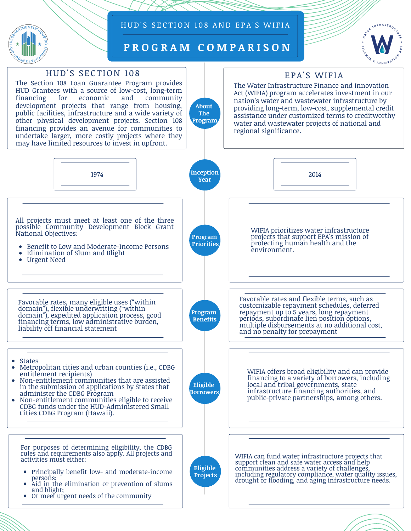

### HUD'S SECTION 108 AND EPA'S WIFIA

**P R O G R A M C O M P A R I S O N**

**About The Program**



### HUD'S SECTION 108

The Section 108 Loan Guarantee Program provides HUD Grantees with a source of low-cost, long-term community development projects that range from housing, public facilities, infrastructure and a wide variety of other physical development projects. Section 108 financing provides an avenue for communities to undertake larger, more costly projects where they may have limited resources to invest in upfront.

# EPA'S WIFIA

The Water Infrastructure Finance and Innovation Act (WIFIA) program accelerates investment in our nation's water and wastewater infrastructure by providing long-term, low-cost, supplemental credit assistance under customized terms to creditworthy water and wastewater projects of national and regional significance.